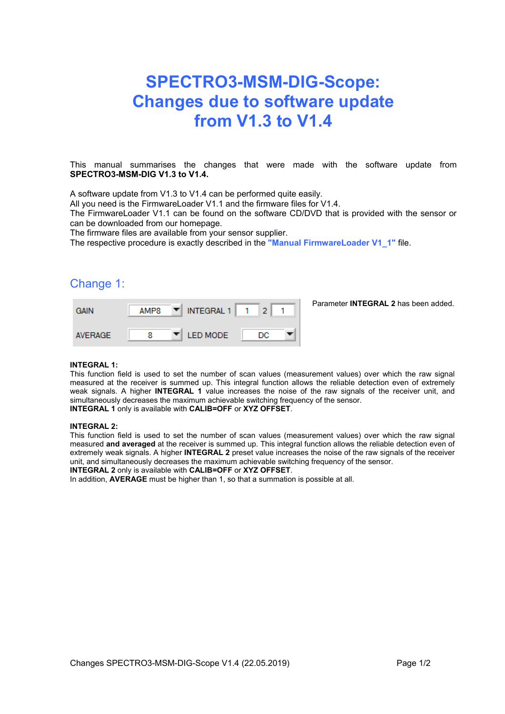# **SPECTRO3-MSM-DIG-Scope: Changes due to software update from V1.3 to V1.4**

This manual summarises the changes that were made with the software update from **SPECTRO3-MSM-DIG V1.3 to V1.4.**

A software update from V1.3 to V1.4 can be performed quite easily.

All you need is the FirmwareLoader V1.1 and the firmware files for V1.4.

The FirmwareLoader V1.1 can be found on the software CD/DVD that is provided with the sensor or can be downloaded from our homepage.

The firmware files are available from your sensor supplier.

The respective procedure is exactly described in the **"Manual FirmwareLoader V1\_1"** file.

### Change 1:

| <b>GAIN</b>    | AMP8 | INTEGRAL 1<br>▼        |    | Parameter <b>INTEGRAL 2</b> has been added. |
|----------------|------|------------------------|----|---------------------------------------------|
| <b>AVERAGE</b> |      | <b>I ED MODE</b><br>▼∥ | DC |                                             |

#### **INTEGRAL 1:**

This function field is used to set the number of scan values (measurement values) over which the raw signal measured at the receiver is summed up. This integral function allows the reliable detection even of extremely weak signals. A higher **INTEGRAL 1** value increases the noise of the raw signals of the receiver unit, and simultaneously decreases the maximum achievable switching frequency of the sensor. **INTEGRAL 1** only is available with **CALIB=OFF** or **XYZ OFFSET**.

#### **INTEGRAL 2:**

This function field is used to set the number of scan values (measurement values) over which the raw signal measured **and averaged** at the receiver is summed up. This integral function allows the reliable detection even of extremely weak signals. A higher **INTEGRAL 2** preset value increases the noise of the raw signals of the receiver unit, and simultaneously decreases the maximum achievable switching frequency of the sensor.

**INTEGRAL 2** only is available with **CALIB=OFF** or **XYZ OFFSET**.

In addition, **AVERAGE** must be higher than 1, so that a summation is possible at all.